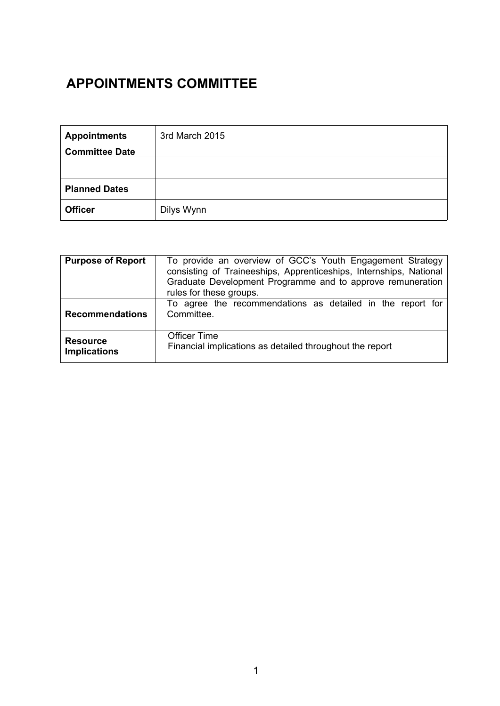# **APPOINTMENTS COMMITTEE**

| <b>Appointments</b>   | 3rd March 2015 |
|-----------------------|----------------|
| <b>Committee Date</b> |                |
|                       |                |
|                       |                |
| <b>Planned Dates</b>  |                |
| <b>Officer</b>        | Dilys Wynn     |

| <b>Purpose of Report</b>               | To provide an overview of GCC's Youth Engagement Strategy<br>consisting of Traineeships, Apprenticeships, Internships, National<br>Graduate Development Programme and to approve remuneration<br>rules for these groups. |
|----------------------------------------|--------------------------------------------------------------------------------------------------------------------------------------------------------------------------------------------------------------------------|
| <b>Recommendations</b>                 | To agree the recommendations as detailed in the report for<br>Committee.                                                                                                                                                 |
| <b>Resource</b><br><b>Implications</b> | <b>Officer Time</b><br>Financial implications as detailed throughout the report                                                                                                                                          |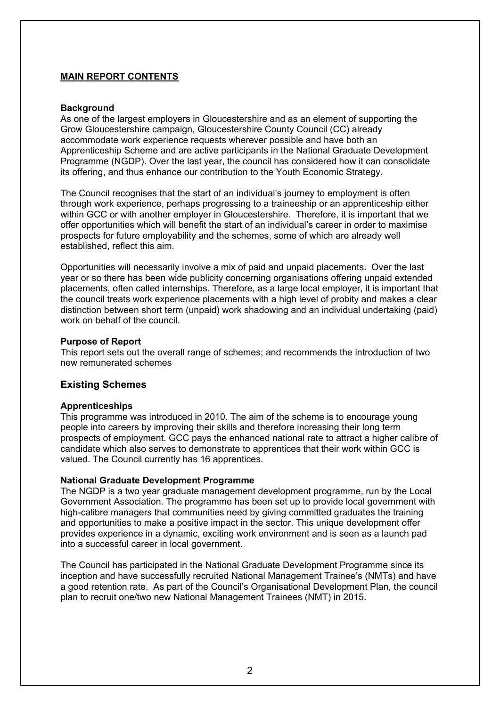# **MAIN REPORT CONTENTS**

### **Background**

As one of the largest employers in Gloucestershire and as an element of supporting the Grow Gloucestershire campaign, Gloucestershire County Council (CC) already accommodate work experience requests wherever possible and have both an Apprenticeship Scheme and are active participants in the National Graduate Development Programme (NGDP). Over the last year, the council has considered how it can consolidate its offering, and thus enhance our contribution to the Youth Economic Strategy.

The Council recognises that the start of an individual's journey to employment is often through work experience, perhaps progressing to a traineeship or an apprenticeship either within GCC or with another employer in Gloucestershire. Therefore, it is important that we offer opportunities which will benefit the start of an individual's career in order to maximise prospects for future employability and the schemes, some of which are already well established, reflect this aim.

Opportunities will necessarily involve a mix of paid and unpaid placements. Over the last year or so there has been wide publicity concerning organisations offering unpaid extended placements, often called internships. Therefore, as a large local employer, it is important that the council treats work experience placements with a high level of probity and makes a clear distinction between short term (unpaid) work shadowing and an individual undertaking (paid) work on behalf of the council.

## **Purpose of Report**

This report sets out the overall range of schemes; and recommends the introduction of two new remunerated schemes

# **Existing Schemes**

# **Apprenticeships**

This programme was introduced in 2010. The aim of the scheme is to encourage young people into careers by improving their skills and therefore increasing their long term prospects of employment. GCC pays the enhanced national rate to attract a higher calibre of candidate which also serves to demonstrate to apprentices that their work within GCC is valued. The Council currently has 16 apprentices.

# **National Graduate Development Programme**

The NGDP is a two year graduate management development programme, run by the Local Government Association. The programme has been set up to provide local government with high-calibre managers that communities need by giving committed graduates the training and opportunities to make a positive impact in the sector. This unique development offer provides experience in a dynamic, exciting work environment and is seen as a launch pad into a successful career in local government.

The Council has participated in the National Graduate Development Programme since its inception and have successfully recruited National Management Trainee's (NMTs) and have a good retention rate. As part of the Council's Organisational Development Plan, the council plan to recruit one/two new National Management Trainees (NMT) in 2015.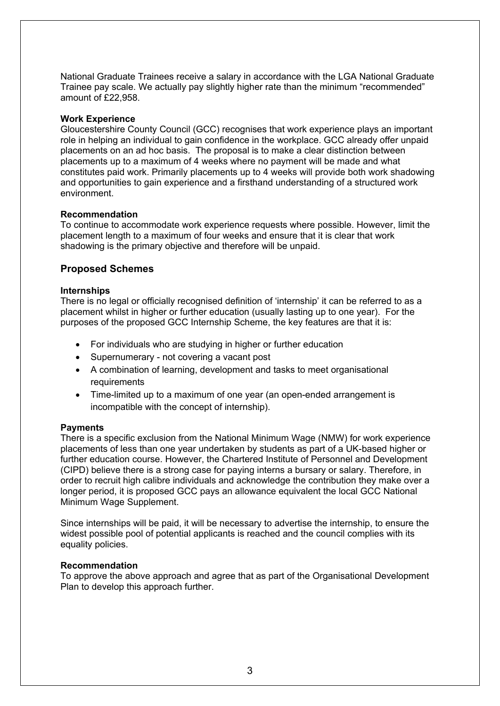National Graduate Trainees receive a salary in accordance with the LGA National Graduate Trainee pay scale. We actually pay slightly higher rate than the minimum "recommended" amount of £22,958.

### **Work Experience**

Gloucestershire County Council (GCC) recognises that work experience plays an important role in helping an individual to gain confidence in the workplace. GCC already offer unpaid placements on an ad hoc basis. The proposal is to make a clear distinction between placements up to a maximum of 4 weeks where no payment will be made and what constitutes paid work. Primarily placements up to 4 weeks will provide both work shadowing and opportunities to gain experience and a firsthand understanding of a structured work environment.

## **Recommendation**

To continue to accommodate work experience requests where possible. However, limit the placement length to a maximum of four weeks and ensure that it is clear that work shadowing is the primary objective and therefore will be unpaid.

# **Proposed Schemes**

## **Internships**

There is no legal or officially recognised definition of 'internship' it can be referred to as a placement whilst in higher or further education (usually lasting up to one year). For the purposes of the proposed GCC Internship Scheme, the key features are that it is:

- For individuals who are studying in higher or further education
- Supernumerary not covering a vacant post
- A combination of learning, development and tasks to meet organisational requirements
- Time-limited up to a maximum of one year (an open-ended arrangement is incompatible with the concept of internship).

#### **Payments**

There is a specific exclusion from the National Minimum Wage (NMW) for work experience placements of less than one year undertaken by students as part of a UK-based higher or further education course. However, the Chartered Institute of Personnel and Development (CIPD) believe there is a strong case for paying interns a bursary or salary. Therefore, in order to recruit high calibre individuals and acknowledge the contribution they make over a longer period, it is proposed GCC pays an allowance equivalent the local GCC National Minimum Wage Supplement.

Since internships will be paid, it will be necessary to advertise the internship, to ensure the widest possible pool of potential applicants is reached and the council complies with its equality policies.

#### **Recommendation**

To approve the above approach and agree that as part of the Organisational Development Plan to develop this approach further.